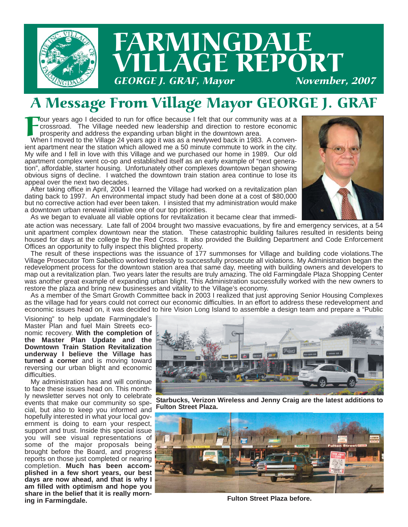

# FARMINGDALE LAGE REPORT **GEORGE J. GRAF, Mayor**

## A Message From Village Mayor GEORGE J. GRAF

Four years ago I decided to run for office because I felt that our community was at a<br>crossroad. The Village needed new leadership and direction to restore economic<br>prosperity and address the expanding urban blight in the crossroad. The Village needed new leadership and direction to restore economic prosperity and address the expanding urban blight in the downtown area.

When I moved to the Village 24 years ago it was as a newlywed back in 1983. A convenient apartment near the station which allowed me a 50 minute commute to work in the city. My wife and I fell in love with this Village and we purchased our home in 1989. Our old apartment complex went co-op and established itself as an early example of "next generation", affordable, starter housing. Unfortunately other complexes downtown began showing obvious signs of decline. I watched the downtown train station area continue to lose its appeal over the next two decades.

After taking office in April, 2004 I learned the Village had worked on a revitalization plan dating back to 1997. An environmental impact study had been done at a cost of \$80,000 but no corrective action had ever been taken. I insisted that my administration would make a downtown urban renewal initiative one of our top priorities.



As we began to evaluate all viable options for revitalization it became clear that immedi-

ate action was necessary. Late fall of 2004 brought two massive evacuations, by fire and emergency services, at a 54 unit apartment complex downtown near the station. These catastrophic building failures resulted in residents being housed for days at the college by the Red Cross. It also provided the Building Department and Code Enforcement Offices an opportunity to fully inspect this blighted property.

The result of these inspections was the issuance of 177 summonses for Village and building code violations.The Village Prosecutor Tom Sabellico worked tirelessly to successfully prosecute all violations. My Administration began the redevelopment process for the downtown station area that same day, meeting with building owners and developers to map out a revitalization plan. Two years later the results are truly amazing. The old Farmingdale Plaza Shopping Center was another great example of expanding urban blight. This Administration successfully worked with the new owners to restore the plaza and bring new businesses and vitality to the Village's economy.

As a member of the Smart Growth Committee back in 2003 I realized that just approving Senior Housing Complexes as the village had for years could not correct our economic difficulties. In an effort to address these redevelopment and economic issues head on, it was decided to hire Vision Long Island to assemble a design team and prepare a "Public

Visioning" to help update Farmingdale's Master Plan and fuel Main Streets economic recovery. **With the completion of the Master Plan Update and the Downtown Train Station Revitalization underway I believe the Village has turned a corner** and is moving toward reversing our urban blight and economic difficulties.

My administration has and will continue to face these issues head on. This monthly newsletter serves not only to celebrate events that make our community so special, but also to keep you informed and hopefully interested in what your local government is doing to earn your respect, support and trust. Inside this special issue you will see visual representations of some of the major proposals being brought before the Board, and progress reports on those just completed or nearing completion. **Much has been accomplished in a few short years, our best days are now ahead, and that is why I am filled with optimism and hope you** share in the belief that it is really morn-<br>ing in Farmingdale.



**Starbucks, Verizon Wireless and Jenny Craig are the latest additions to Fulton Street Plaza.**



**ing in Farmingdale. Fulton Street Plaza before.**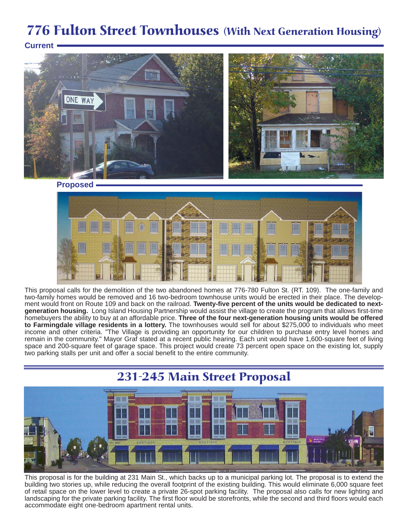## 776 Fulton Street Townhouses (With Next Generation Housing)





**Proposed**



This proposal calls for the demolition of the two abandoned homes at 776-780 Fulton St. (RT. 109). The one-family and two-family homes would be removed and 16 two-bedroom townhouse units would be erected in their place. The development would front on Route 109 and back on the railroad. **Twenty-five percent of the units would be dedicated to nextgeneration housing.** Long Island Housing Partnership would assist the village to create the program that allows first-time homebuyers the ability to buy at an affordable price. **Three of the four next-generation housing units would be offered to Farmingdale village residents in a lottery.** The townhouses would sell for about \$275,000 to individuals who meet income and other criteria. "The Village is providing an opportunity for our children to purchase entry level homes and remain in the community." Mayor Graf stated at a recent public hearing. Each unit would have 1,600-square feet of living space and 200-square feet of garage space. This project would create 73 percent open space on the existing lot, supply two parking stalls per unit and offer a social benefit to the entire community.



This proposal is for the building at 231 Main St., which backs up to a municipal parking lot. The proposal is to extend the building two stories up, while reducing the overall footprint of the existing building. This would eliminate 6,000 square feet of retail space on the lower level to create a private 26-spot parking facility. The proposal also calls for new lighting and landscaping for the private parking facility. The first floor would be storefronts, while the second and third floors would each accommodate eight one-bedroom apartment rental units.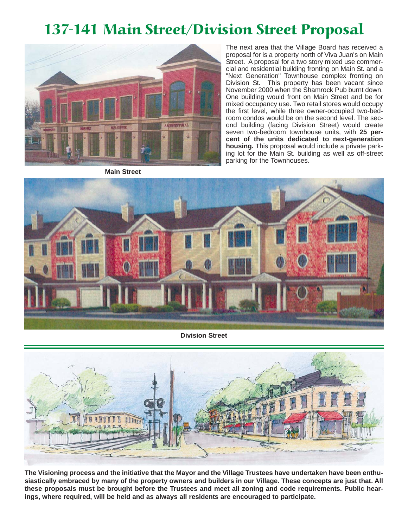## 137-141 Main Street/Division Street Proposal



The next area that the Village Board has received a proposal for is a property north of Viva Juan's on Main Street. A proposal for a two story mixed use commercial and residential building fronting on Main St. and a "Next Generation" Townhouse complex fronting on Division St. This property has been vacant since November 2000 when the Shamrock Pub burnt down. One building would front on Main Street and be for mixed occupancy use. Two retail stores would occupy the first level, while three owner-occupied two-bedroom condos would be on the second level. The second building (facing Division Street) would create seven two-bedroom townhouse units, with **25 percent of the units dedicated to next-generation housing.** This proposal would include a private parking lot for the Main St. building as well as off-street parking for the Townhouses.

**Main Street**



**Division Street**



**The Visioning process and the initiative that the Mayor and the Village Trustees have undertaken have been enthusiastically embraced by many of the property owners and builders in our Village. These concepts are just that. All these proposals must be brought before the Trustees and meet all zoning and code requirements. Public hearings, where required, will be held and as always all residents are encouraged to participate.**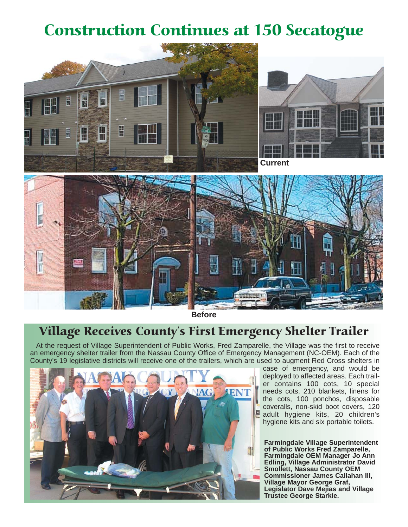# Construction Continues at 150 Secatogue





**Current**



**Before**

#### Village Receives County's First Emergency Shelter Trailer

At the request of Village Superintendent of Public Works, Fred Zamparelle, the Village was the first to receive an emergency shelter trailer from the Nassau County Office of Emergency Management (NC-OEM). Each of the County's 19 legislative districts will receive one of the trailers, which are used to augment Red Cross shelters in



case of emergency, and would be deployed to affected areas. Each trailer contains 100 cots, 10 special needs cots, 210 blankets, linens for the cots, 100 ponchos, disposable coveralls, non-skid boot covers, 120 adult hygiene kits, 20 children's hygiene kits and six portable toilets.

**Farmingdale Village Superintendent of Public Works Fred Zamparelle, Farmingdale OEM Manager Jo Ann Edling, Village Administrator David Smollett, Nassau County OEM Commissioner James Callahan III, Village Mayor George Graf, Legislator Dave Mejias and Village Trustee George Starkie.**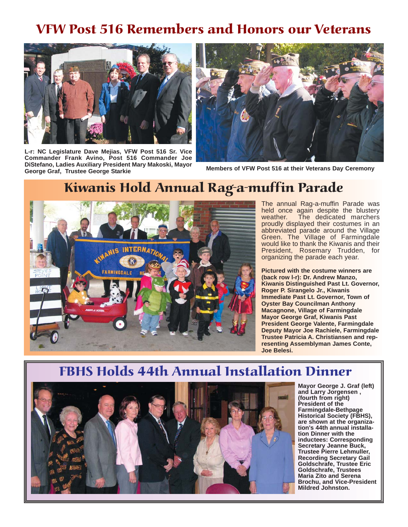### VFW Post 516 Remembers and Honors our Veterans



**L-r: NC Legislature Dave Mejias, VFW Post 516 Sr. Vice Commander Frank Avino, Post 516 Commander Joe DiStefano, Ladies Auxiliary President Mary Makoski, Mayor George Graf, Trustee George Starkie**



**Members of VFW Post 516 at their Veterans Day Ceremony**





The annual Rag-a-muffin Parade was held once again despite the blustery weather. The dedicated marchers proudly displayed their costumes in an abbreviated parade around the Village Green. The Village of Farmingdale would like to thank the Kiwanis and their President, Rosemary Trudden, for organizing the parade each year.

**Pictured with the costume winners are (back row l-r): Dr. Andrew Manzo, Kiwanis Distinguished Past Lt. Governor, Roger P. Sirangelo Jr., Kiwanis Immediate Past Lt. Governor, Town of Oyster Bay Councilman Anthony Macagnone, Village of Farmingdale Mayor George Graf, Kiwanis Past President George Valente, Farmingdale Deputy Mayor Joe Rachiele, Farmingdale Trustee Patricia A. Christiansen and representing Assemblyman James Conte, Joe Belesi.**

#### FBHS Holds 44th Annual Installation Dinner



**Mayor George J. Graf (left) and Larry Jorgensen , (fourth from right) President of the Farmingdale-Bethpage Historical Society (FBHS), are shown at the organization's 44th annual installation Dinner with the inductees: Corresponding Secretary Jeanne Buck, Trustee Pierre Lehmuller, Recording Secretary Gail Goldschrafe, Trustee Eric Goldschrafe, Trustees Maria Zito and Serena Brochu, and Vice-President Mildred Johnston.**